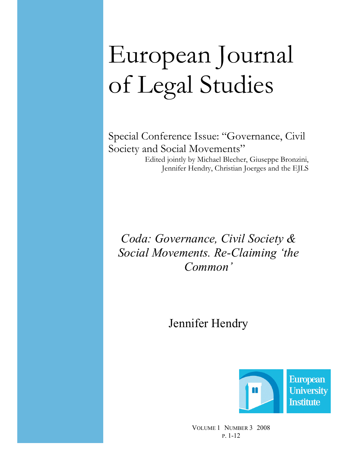# European Journal of Legal Studies

Special Conference Issue: "Governance, Civil Society and Social Movements" Edited jointly by Michael Blecher, Giuseppe Bronzini, Jennifer Hendry, Christian Joerges and the EJLS

Coda: Governance, Civil Society & Social Movements. Re-Claiming 'the Common'

Jennifer Hendry



VOLUME 1 NUMBER 3 2008 P. 1-12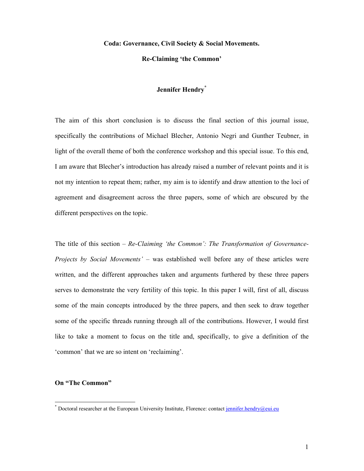#### Coda: Governance, Civil Society & Social Movements.

## Re-Claiming 'the Common'

## Jennifer Hendry\*

The aim of this short conclusion is to discuss the final section of this journal issue, specifically the contributions of Michael Blecher, Antonio Negri and Gunther Teubner, in light of the overall theme of both the conference workshop and this special issue. To this end, I am aware that Blecher's introduction has already raised a number of relevant points and it is not my intention to repeat them; rather, my aim is to identify and draw attention to the loci of agreement and disagreement across the three papers, some of which are obscured by the different perspectives on the topic.

The title of this section – Re-Claiming 'the Common': The Transformation of Governance-Projects by Social Movements' – was established well before any of these articles were written, and the different approaches taken and arguments furthered by these three papers serves to demonstrate the very fertility of this topic. In this paper I will, first of all, discuss some of the main concepts introduced by the three papers, and then seek to draw together some of the specific threads running through all of the contributions. However, I would first like to take a moment to focus on the title and, specifically, to give a definition of the 'common' that we are so intent on 'reclaiming'.

## On "The Common"

<sup>\*</sup> Doctoral researcher at the European University Institute, Florence: contact jennifer.hendry@eui.eu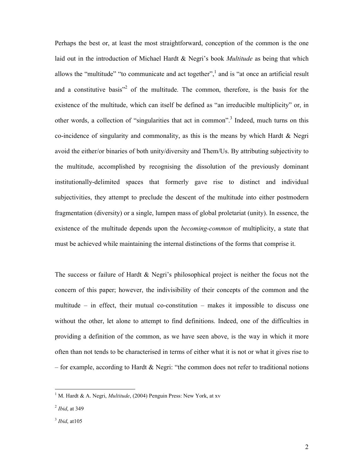Perhaps the best or, at least the most straightforward, conception of the common is the one laid out in the introduction of Michael Hardt & Negri's book *Multitude* as being that which allows the "multitude" "to communicate and act together",<sup>1</sup> and is "at once an artificial result and a constitutive basis<sup> $2$ </sup> of the multitude. The common, therefore, is the basis for the existence of the multitude, which can itself be defined as "an irreducible multiplicity" or, in other words, a collection of "singularities that act in common".<sup>3</sup> Indeed, much turns on this co-incidence of singularity and commonality, as this is the means by which Hardt & Negri avoid the either/or binaries of both unity/diversity and Them/Us. By attributing subjectivity to the multitude, accomplished by recognising the dissolution of the previously dominant institutionally-delimited spaces that formerly gave rise to distinct and individual subjectivities, they attempt to preclude the descent of the multitude into either postmodern fragmentation (diversity) or a single, lumpen mass of global proletariat (unity). In essence, the existence of the multitude depends upon the becoming-common of multiplicity, a state that must be achieved while maintaining the internal distinctions of the forms that comprise it.

The success or failure of Hardt  $\&$  Negri's philosophical project is neither the focus not the concern of this paper; however, the indivisibility of their concepts of the common and the multitude – in effect, their mutual co-constitution – makes it impossible to discuss one without the other, let alone to attempt to find definitions. Indeed, one of the difficulties in providing a definition of the common, as we have seen above, is the way in which it more often than not tends to be characterised in terms of either what it is not or what it gives rise to – for example, according to Hardt  $\&$  Negri: "the common does not refer to traditional notions

<sup>&</sup>lt;sup>1</sup> M. Hardt & A. Negri, *Multitude*, (2004) Penguin Press: New York, at xv

 $<sup>2</sup>$  *Ibid*, at 349</sup>

 $3$  *Ibid*, at 105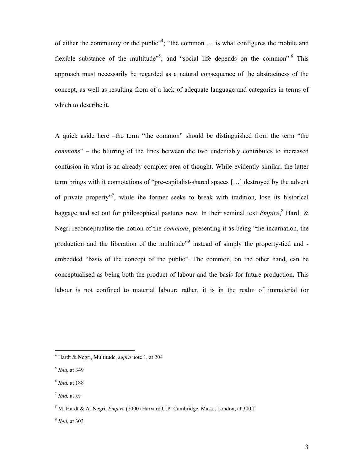of either the community or the public<sup> $,4$ </sup>; "the common  $\ldots$  is what configures the mobile and flexible substance of the multitude<sup> $5$ </sup>; and "social life depends on the common".<sup>6</sup> This approach must necessarily be regarded as a natural consequence of the abstractness of the concept, as well as resulting from of a lack of adequate language and categories in terms of which to describe it.

A quick aside here –the term "the common" should be distinguished from the term "the commons" – the blurring of the lines between the two undeniably contributes to increased confusion in what is an already complex area of thought. While evidently similar, the latter term brings with it connotations of "pre-capitalist-shared spaces […] destroyed by the advent of private property"<sup>7</sup>, while the former seeks to break with tradition, lose its historical baggage and set out for philosophical pastures new. In their seminal text *Empire*,<sup>8</sup> Hardt  $\&$ Negri reconceptualise the notion of the commons, presenting it as being "the incarnation, the production and the liberation of the multitude"<sup>9</sup> instead of simply the property-tied and embedded "basis of the concept of the public". The common, on the other hand, can be conceptualised as being both the product of labour and the basis for future production. This labour is not confined to material labour; rather, it is in the realm of immaterial (or

 4 Hardt & Negri, Multitude, supra note 1, at 204

<sup>&</sup>lt;sup>5</sup> *Ibid*, at 349

<sup>&</sup>lt;sup>6</sup> *Ibid*, at 188

 $^7$  *Ibid*, at xv

<sup>&</sup>lt;sup>8</sup> M. Hardt & A. Negri, *Empire* (2000) Harvard U.P: Cambridge, Mass.; London, at 300ff

 $<sup>9</sup>$  *Ibid*, at 303</sup>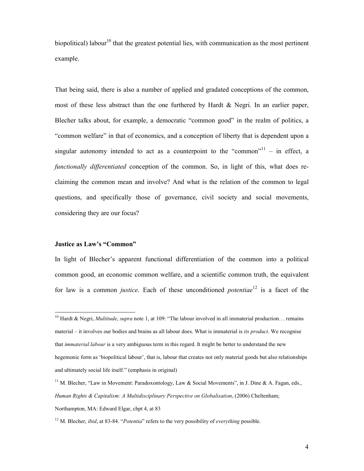biopolitical) labour<sup>10</sup> that the greatest potential lies, with communication as the most pertinent example.

That being said, there is also a number of applied and gradated conceptions of the common, most of these less abstract than the one furthered by Hardt  $\&$  Negri. In an earlier paper, Blecher talks about, for example, a democratic "common good" in the realm of politics, a "common welfare" in that of economics, and a conception of liberty that is dependent upon a singular autonomy intended to act as a counterpoint to the "common"<sup>11</sup> – in effect, a functionally differentiated conception of the common. So, in light of this, what does reclaiming the common mean and involve? And what is the relation of the common to legal questions, and specifically those of governance, civil society and social movements, considering they are our focus?

#### Justice as Law's "Common"

 $\overline{a}$ 

In light of Blecher's apparent functional differentiation of the common into a political common good, an economic common welfare, and a scientific common truth, the equivalent for law is a common *justice*. Each of these unconditioned *potentiae*<sup>12</sup> is a facet of the

<sup>12</sup> M. Blecher, *ibid*, at 83-84. "*Potentia*" refers to the very possibility of *everything* possible.

<sup>&</sup>lt;sup>10</sup> Hardt & Negri, *Multitude*, *supra* note 1, at 109: "The labour involved in all immaterial production... remains material – it involves our bodies and brains as all labour does. What is immaterial is *its product*. We recognise that immaterial labour is a very ambiguous term in this regard. It might be better to understand the new hegemonic form as 'biopolitical labour', that is, labour that creates not only material goods but also relationships and ultimately social life itself." (emphasis in original)

<sup>&</sup>lt;sup>11</sup> M. Blecher, "Law in Movement: Paradoxontology, Law & Social Movements", in J. Dine & A. Fagan, eds., Human Rights & Capitalism: A Multidisciplinary Perspective on Globalisation, (2006) Cheltenham;

Northampton, MA: Edward Elgar, chpt 4, at 83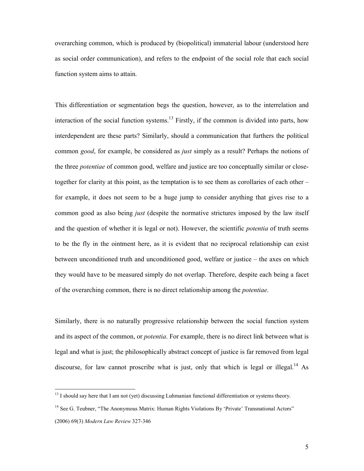overarching common, which is produced by (biopolitical) immaterial labour (understood here as social order communication), and refers to the endpoint of the social role that each social function system aims to attain.

This differentiation or segmentation begs the question, however, as to the interrelation and interaction of the social function systems.<sup>13</sup> Firstly, if the common is divided into parts, how interdependent are these parts? Similarly, should a communication that furthers the political common good, for example, be considered as just simply as a result? Perhaps the notions of the three potentiae of common good, welfare and justice are too conceptually similar or closetogether for clarity at this point, as the temptation is to see them as corollaries of each other – for example, it does not seem to be a huge jump to consider anything that gives rise to a common good as also being just (despite the normative strictures imposed by the law itself and the question of whether it is legal or not). However, the scientific potentia of truth seems to be the fly in the ointment here, as it is evident that no reciprocal relationship can exist between unconditioned truth and unconditioned good, welfare or justice – the axes on which they would have to be measured simply do not overlap. Therefore, despite each being a facet of the overarching common, there is no direct relationship among the potentiae.

Similarly, there is no naturally progressive relationship between the social function system and its aspect of the common, or *potentia*. For example, there is no direct link between what is legal and what is just; the philosophically abstract concept of justice is far removed from legal discourse, for law cannot proscribe what is just, only that which is legal or illegal.<sup>14</sup> As

 $13$  I should say here that I am not (yet) discussing Luhmanian functional differentiation or systems theory.

<sup>&</sup>lt;sup>14</sup> See G. Teubner, "The Anonymous Matrix: Human Rights Violations By 'Private' Transnational Actors"

<sup>(2006) 69(3)</sup> Modern Law Review 327-346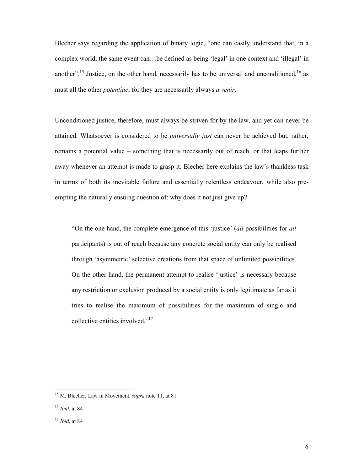Blecher says regarding the application of binary logic, "one can easily understand that, in a complex world, the same event can…be defined as being 'legal' in one context and 'illegal' in another".<sup>15</sup> Justice, on the other hand, necessarily has to be universal and unconditioned,  $16$  as must all the other potentiae, for they are necessarily always a venir.

Unconditioned justice, therefore, must always be striven for by the law, and yet can never be attained. Whatsoever is considered to be universally just can never be achieved but, rather, remains a potential value – something that is necessarily out of reach, or that leaps further away whenever an attempt is made to grasp it. Blecher here explains the law's thankless task in terms of both its inevitable failure and essentially relentless endeavour, while also preempting the naturally ensuing question of: why does it not just give up?

"On the one hand, the complete emergence of this 'justice' (all possibilities for all participants) is out of reach because any concrete social entity can only be realised through 'asymmetric' selective creations from that space of unlimited possibilities. On the other hand, the permanent attempt to realise 'justice' is necessary because any restriction or exclusion produced by a social entity is only legitimate as far as it tries to realise the maximum of possibilities for the maximum of single and collective entities involved."<sup>17</sup>

 $15$  M. Blecher, Law in Movement, *supra* note 11, at 81

 $16$  *Ibid*, at 84

 $17$  *Ibid*, at 84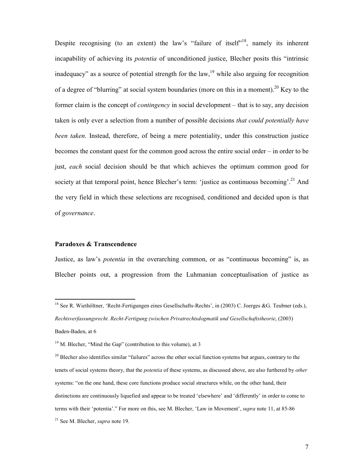Despite recognising (to an extent) the law's "failure of itself"<sup>18</sup>, namely its inherent incapability of achieving its potentia of unconditioned justice, Blecher posits this "intrinsic inadequacy" as a source of potential strength for the law,<sup>19</sup> while also arguing for recognition of a degree of "blurring" at social system boundaries (more on this in a moment).<sup>20</sup> Key to the former claim is the concept of *contingency* in social development – that is to say, any decision taken is only ever a selection from a number of possible decisions that could potentially have been taken. Instead, therefore, of being a mere potentiality, under this construction justice becomes the constant quest for the common good across the entire social order – in order to be just, each social decision should be that which achieves the optimum common good for society at that temporal point, hence Blecher's term: 'justice as continuous becoming'.<sup>21</sup> And the very field in which these selections are recognised, conditioned and decided upon is that of governance.

## Paradoxes & Transcendence

 $\overline{a}$ 

Justice, as law's potentia in the overarching common, or as "continuous becoming" is, as Blecher points out, a progression from the Luhmanian conceptualisation of justice as

<sup>&</sup>lt;sup>18</sup> See R. Wiethöltner, 'Recht-Fertigungen eines Gesellschafts-Rechts', in (2003) C. Joerges &G. Teubner (eds.), Rechtsverfassungsrecht. Recht-Fertigung zwischen Privatrechtsdogmatik und Gesellschaftstheorie, (2003) Baden-Baden, at 6

 $19$  M. Blecher, "Mind the Gap" (contribution to this volume), at 3

<sup>&</sup>lt;sup>20</sup> Blecher also identifies similar "failures" across the other social function systems but argues, contrary to the tenets of social systems theory, that the *potentia* of these systems, as discussed above, are also furthered by other systems: "on the one hand, these core functions produce social structures while, on the other hand, their distinctions are continuously liquefied and appear to be treated 'elsewhere' and 'differently' in order to come to terms with their 'potentia'." For more on this, see M. Blecher, 'Law in Movement', supra note 11, at 85-86  $21$  See M. Blecher, *supra* note 19.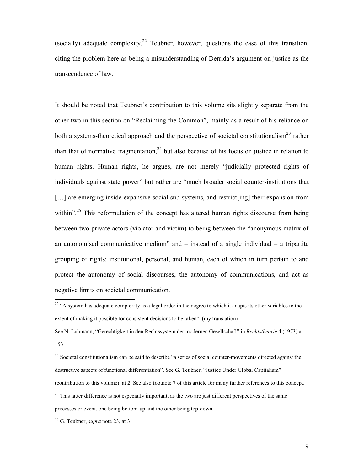(socially) adequate complexity.<sup>22</sup> Teubner, however, questions the ease of this transition, citing the problem here as being a misunderstanding of Derrida's argument on justice as the transcendence of law.

It should be noted that Teubner's contribution to this volume sits slightly separate from the other two in this section on "Reclaiming the Common", mainly as a result of his reliance on both a systems-theoretical approach and the perspective of societal constitutionalism<sup>23</sup> rather than that of normative fragmentation,  $24$  but also because of his focus on justice in relation to human rights. Human rights, he argues, are not merely "judicially protected rights of individuals against state power" but rather are "much broader social counter-institutions that [...] are emerging inside expansive social sub-systems, and restrict [ing] their expansion from within".<sup>25</sup> This reformulation of the concept has altered human rights discourse from being between two private actors (violator and victim) to being between the "anonymous matrix of an autonomised communicative medium" and  $-$  instead of a single individual  $-$  a tripartite grouping of rights: institutional, personal, and human, each of which in turn pertain to and protect the autonomy of social discourses, the autonomy of communications, and act as negative limits on societal communication.

See N. Luhmann, "Gerechtigkeit in den Rechtssystem der modernen Gesellschaft" in Rechtstheorie 4 (1973) at 153

<sup>23</sup> Societal constitutionalism can be said to describe "a series of social counter-movements directed against the destructive aspects of functional differentiation". See G. Teubner, "Justice Under Global Capitalism" (contribution to this volume), at 2. See also footnote 7 of this article for many further references to this concept.  $24$  This latter difference is not especially important, as the two are just different perspectives of the same processes or event, one being bottom-up and the other being top-down.

 $22$  "A system has adequate complexity as a legal order in the degree to which it adapts its other variables to the extent of making it possible for consistent decisions to be taken". (my translation)

 $25$  G. Teubner, *supra* note 23, at 3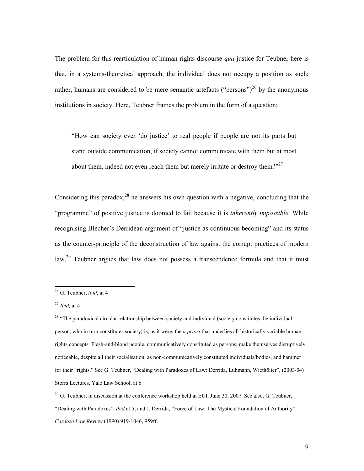The problem for this rearticulation of human rights discourse *qua* justice for Teubner here is that, in a systems-theoretical approach, the individual does not occupy a position as such; rather, humans are considered to be mere semantic artefacts ("persons")<sup>26</sup> by the anonymous institutions in society. Here, Teubner frames the problem in the form of a question:

"How can society ever 'do justice' to real people if people are not its parts but stand outside communication, if society cannot communicate with them but at most about them, indeed not even reach them but merely irritate or destroy them?"<sup>27</sup>

Considering this paradox,  $28$  he answers his own question with a negative, concluding that the "programme" of positive justice is doomed to fail because it is *inherently impossible*. While recognising Blecher's Derridean argument of "justice as continuous becoming" and its status as the counter-principle of the deconstruction of law against the corrupt practices of modern law,  $29$  Teubner argues that law does not possess a transcendence formula and that it must

 $26$  G. Teubner, *ibid*, at 4

 $27$  *Ibid*, at 4

<sup>&</sup>lt;sup>28</sup> "The paradoxical circular relationship between society and individual (society constitutes the individual person, who in turn constitutes society) is, as it were, the *a priori* that underlies all historically variable humanrights concepts. Flesh-and-blood people, communicatively constituted as persons, make themselves disruptively noticeable, despite all their socialisation, as non-communicatively constituted individuals/bodies, and hammer for their "rights." See G. Teubner, "Dealing with Paradoxes of Law: Derrida, Luhmann, Wiethölter", (2003/04) Storrs Lectures, Yale Law School, at 6

 $^{29}$  G. Teubner, in discussion at the conference workshop held at EUI, June 30, 2007. See also, G. Teubner, "Dealing with Paradoxes", ibid at 5; and J. Derrida, "Force of Law: The Mystical Foundation of Authority" Cardozo Law Review (1990) 919-1046, 959ff.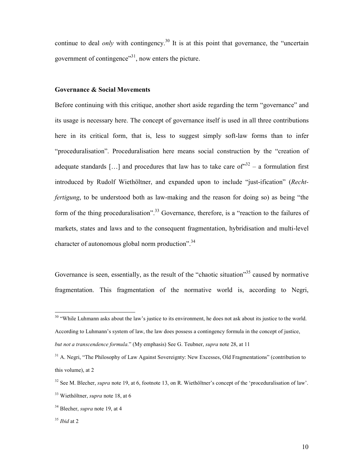continue to deal *only* with contingency.<sup>30</sup> It is at this point that governance, the "uncertain" government of contingence $^{31}$ , now enters the picture.

## Governance & Social Movements

Before continuing with this critique, another short aside regarding the term "governance" and its usage is necessary here. The concept of governance itself is used in all three contributions here in its critical form, that is, less to suggest simply soft-law forms than to infer "proceduralisation". Proceduralisation here means social construction by the "creation of adequate standards [...] and procedures that law has to take care of  $3^{32}$  – a formulation first introduced by Rudolf Wiethöltner, and expanded upon to include "just-ification" (Rechtfertigung, to be understood both as law-making and the reason for doing so) as being "the form of the thing proceduralisation".<sup>33</sup> Governance, therefore, is a "reaction to the failures of markets, states and laws and to the consequent fragmentation, hybridisation and multi-level character of autonomous global norm production".<sup>34</sup>

Governance is seen, essentially, as the result of the "chaotic situation"<sup>35</sup> caused by normative fragmentation. This fragmentation of the normative world is, according to Negri,

 $30$  "While Luhmann asks about the law's justice to its environment, he does not ask about its justice to the world. According to Luhmann's system of law, the law does possess a contingency formula in the concept of justice, but not a transcendence formula." (My emphasis) See G. Teubner, supra note 28, at 11

<sup>&</sup>lt;sup>31</sup> A. Negri, "The Philosophy of Law Against Sovereignty: New Excesses, Old Fragmentations" (contribution to this volume), at 2

 $32$  See M. Blecher, *supra* note 19, at 6, footnote 13, on R. Wiethöltner's concept of the 'proceduralisation of law'.  $33$  Wiethöltner, *supra* note 18, at 6

<sup>&</sup>lt;sup>34</sup> Blecher, *supra* note 19, at 4

 $35$  *Ibid* at 2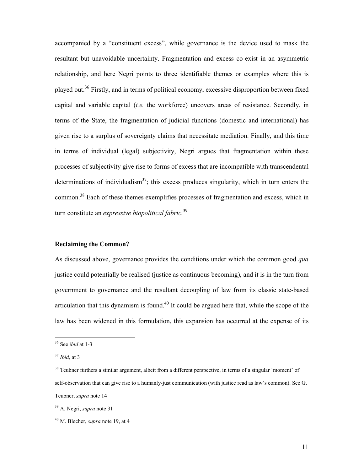accompanied by a "constituent excess", while governance is the device used to mask the resultant but unavoidable uncertainty. Fragmentation and excess co-exist in an asymmetric relationship, and here Negri points to three identifiable themes or examples where this is played out.<sup>36</sup> Firstly, and in terms of political economy, excessive disproportion between fixed capital and variable capital (i.e. the workforce) uncovers areas of resistance. Secondly, in terms of the State, the fragmentation of judicial functions (domestic and international) has given rise to a surplus of sovereignty claims that necessitate mediation. Finally, and this time in terms of individual (legal) subjectivity, Negri argues that fragmentation within these processes of subjectivity give rise to forms of excess that are incompatible with transcendental determinations of individualism<sup>37</sup>; this excess produces singularity, which in turn enters the common.<sup>38</sup> Each of these themes exemplifies processes of fragmentation and excess, which in turn constitute an *expressive biopolitical fabric*.<sup>39</sup>

## Reclaiming the Common?

As discussed above, governance provides the conditions under which the common good *qua* justice could potentially be realised (justice as continuous becoming), and it is in the turn from government to governance and the resultant decoupling of law from its classic state-based articulation that this dynamism is found.<sup>40</sup> It could be argued here that, while the scope of the law has been widened in this formulation, this expansion has occurred at the expense of its

 $36$  See *ibid* at 1-3

 $37$  *Ibid*, at 3

<sup>&</sup>lt;sup>38</sup> Teubner furthers a similar argument, albeit from a different perspective, in terms of a singular 'moment' of self-observation that can give rise to a humanly-just communication (with justice read as law's common). See G. Teubner, supra note 14

<sup>39</sup> A. Negri, supra note 31

 $40$  M. Blecher, *supra* note 19, at 4